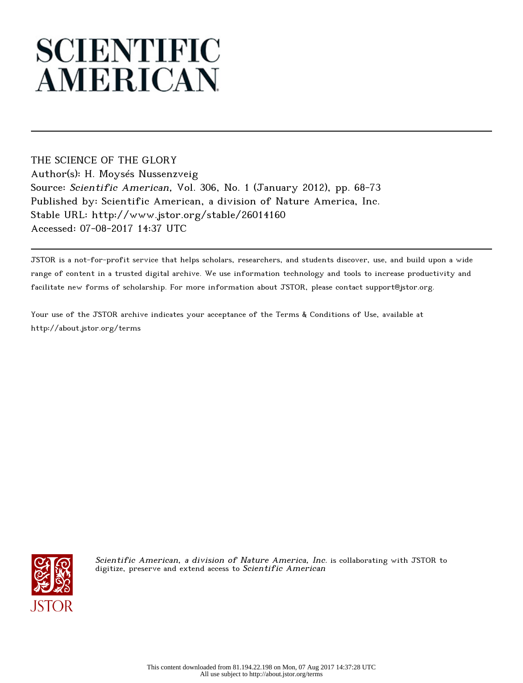# **SCIENTIFIC AMERICAN**

THE SCIENCE OF THE GLORY Author(s): H. Moysés Nussenzveig Source: Scientific American, Vol. 306, No. 1 (January 2012), pp. 68-73 Published by: Scientific American, a division of Nature America, Inc. Stable URL: http://www.jstor.org/stable/26014160 Accessed: 07-08-2017 14:37 UTC

JSTOR is a not-for-profit service that helps scholars, researchers, and students discover, use, and build upon a wide range of content in a trusted digital archive. We use information technology and tools to increase productivity and facilitate new forms of scholarship. For more information about JSTOR, please contact support@jstor.org.

Your use of the JSTOR archive indicates your acceptance of the Terms & Conditions of Use, available at http://about.jstor.org/terms



Scientific American, a division of Nature America, Inc. is collaborating with JSTOR to digitize, preserve and extend access to Scientific American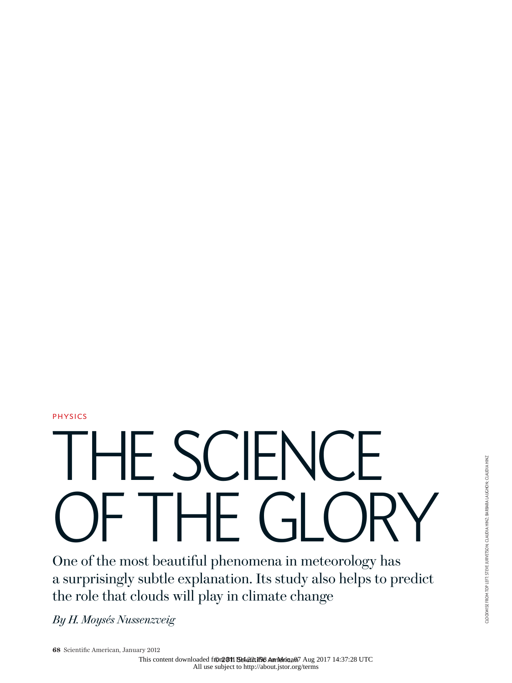# **HE SCIENCE**  $-$  THE GLO

One of the most beautiful phenomena in meteorology has a surprisingly subtle explanation. Its study also helps to predict the role that clouds will play in climate change

*By H. Moysés Nussenzveig*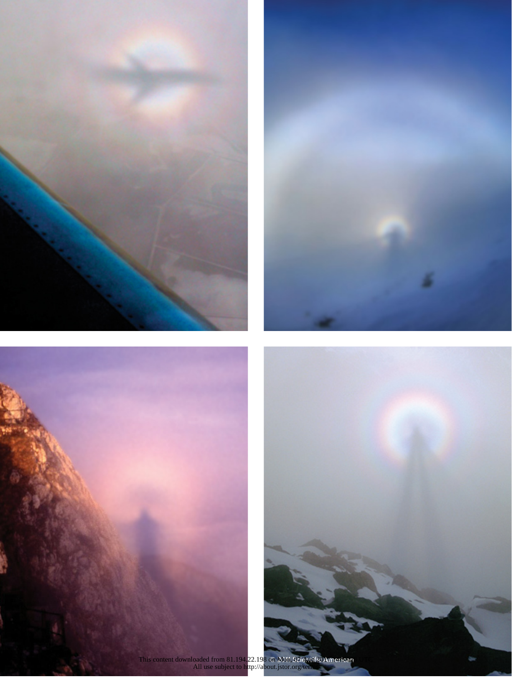







This content downloaded from 81.194.22.198  $\circledR$  MM. Stiernific American CTC  $\circledR$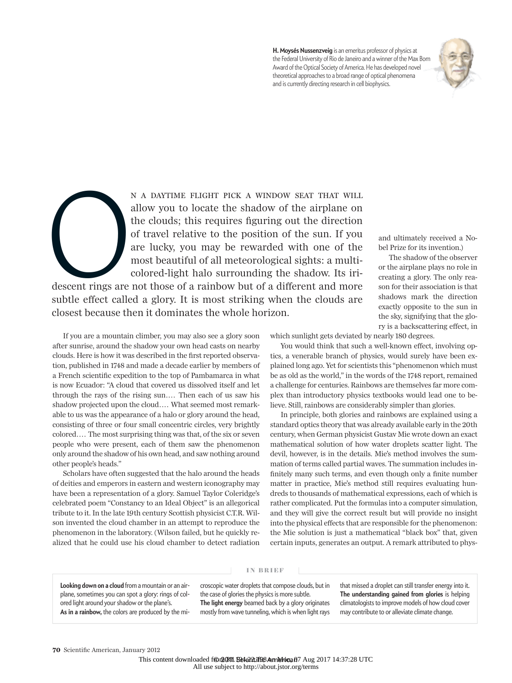**H. Moysés Nussenzveig** is an emeritus professor of physics at the Federal University of Rio de Janeiro and a winner of the Max Born Award of the Optical Society of America. He has developed novel theoretical approaches to a broad range of optical phenomena and is currently directing research in cell biophysics.



N A DAYTIME FLIGHT PICK A WINDOW SEAT THAT WILL<br>allow you to locate the shadow of the airplane on<br>the clouds; this requires figuring out the direction<br>of travel relative to the position of the sun. If you<br>are lucky, you ma allow you to locate the shadow of the airplane on the clouds; this requires figuring out the direction of travel relative to the position of the sun. If you are lucky, you may be rewarded with one of the most beautiful of all meteorological sights: a multicolored-light halo surrounding the shadow. Its iri-

descent rings are not those of a rainbow but of a different and more subtle effect called a glory. It is most striking when the clouds are closest because then it dominates the whole horizon.

If you are a mountain climber, you may also see a glory soon after sunrise, around the shadow your own head casts on nearby clouds. Here is how it was described in the first reported observation, published in 1748 and made a decade earlier by members of a French scientific expedition to the top of Pambamarca in what is now Ecuador: "A cloud that covered us dissolved itself and let through the rays of the rising sun.... Then each of us saw his shadow projected upon the cloud.... What seemed most remarkable to us was the appearance of a halo or glory around the head, consisting of three or four small concentric circles, very brightly colored.... The most surprising thing was that, of the six or seven people who were present, each of them saw the phenomenon only around the shadow of his own head, and saw nothing around other people's heads."

Scholars have often suggested that the halo around the heads of deities and emperors in eastern and western iconography may have been a representation of a glory. Samuel Taylor Coleridge's celebrated poem "Constancy to an Ideal Object" is an allegorical tribute to it. In the late 19th century Scottish physicist C.T.R. Wilson invented the cloud chamber in an attempt to reproduce the phenomenon in the laboratory. (Wilson failed, but he quickly realized that he could use his cloud chamber to detect radiation and ultimately received a Nobel Prize for its invention.)

The shadow of the observer or the airplane plays no role in creating a glory. The only reason for their association is that shadows mark the direction exactly opposite to the sun in the sky, signifying that the glory is a backscattering effect, in

which sunlight gets deviated by nearly 180 degrees.

You would think that such a well-known effect, involving optics, a venerable branch of physics, would surely have been explained long ago. Yet for scientists this "phenomenon which must be as old as the world," in the words of the 1748 report, remained a challenge for centuries. Rainbows are themselves far more complex than introductory physics textbooks would lead one to believe. Still, rainbows are considerably simpler than glories.

In principle, both glories and rainbows are explained using a standard optics theory that was already available early in the 20th century, when German physicist Gustav Mie wrote down an exact mathematical solution of how water droplets scatter light. The devil, however, is in the details. Mie's method involves the summation of terms called partial waves. The summation includes infinitely many such terms, and even though only a finite number matter in practice, Mie's method still requires evaluating hundreds to thousands of mathematical expressions, each of which is rather complicated. Put the formulas into a computer simulation, and they will give the correct result but will provide no insight into the physical effects that are responsible for the phenomenon: the Mie solution is just a mathematical "black box" that, given certain inputs, generates an output. A remark attributed to phys-

#### **IN BRIEF**

**Looking down on a cloud** from a mountain or an airplane, sometimes you can spot a glory: rings of colored light around your shadow or the plane's. **As in a rainbow,** the colors are produced by the microscopic water droplets that compose clouds, but in the case of glories the physics is more subtle. **The light energy** beamed back by a glory originates mostly from wave tunneling, which is when light rays

that missed a droplet can still transfer energy into it. **The understanding gained from glories** is helping climatologists to improve models of how cloud cover may contribute to or alleviate climate change.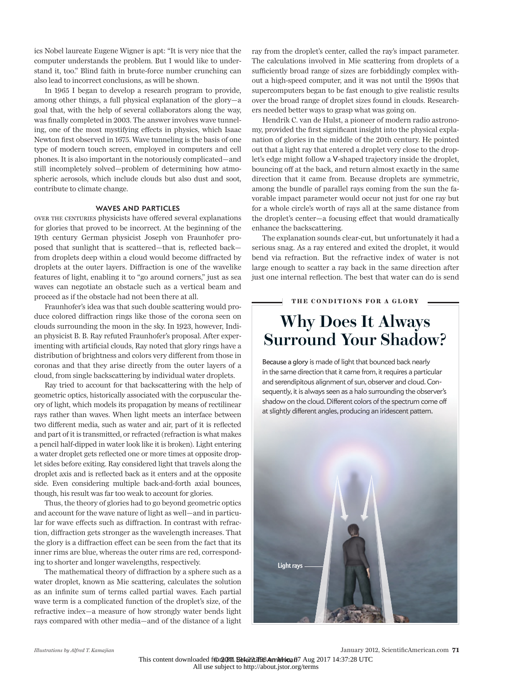ics Nobel laureate Eugene Wigner is apt: "It is very nice that the computer understands the problem. But I would like to understand it, too." Blind faith in brute-force number crunching can also lead to incorrect conclusions, as will be shown.

In 1965 I began to develop a research program to provide, among other things, a full physical explanation of the glory—a goal that, with the help of several collaborators along the way, was finally completed in 2003. The answer involves wave tunneling, one of the most mystifying effects in physics, which Isaac Newton first observed in 1675. Wave tunneling is the basis of one type of modern touch screen, employed in computers and cell phones. It is also important in the notoriously complicated—and still incompletely solved—problem of determining how atmospheric aerosols, which include clouds but also dust and soot, contribute to climate change.

#### **WAVES AND PARTICLES**

over the centuries physicists have offered several explanations for glories that proved to be incorrect. At the beginning of the 19th century German physicist Joseph von Fraunhofer proposed that sunlight that is scattered—that is, reflected back from droplets deep within a cloud would become diffracted by droplets at the outer layers. Diffraction is one of the wavelike features of light, enabling it to "go around corners," just as sea waves can negotiate an obstacle such as a vertical beam and proceed as if the obstacle had not been there at all.

Fraunhofer's idea was that such double scattering would produce colored diffraction rings like those of the corona seen on clouds surrounding the moon in the sky. In 1923, however, Indian physicist B. B. Ray refuted Fraunhofer's proposal. After experimenting with artificial clouds, Ray noted that glory rings have a distribution of brightness and colors very different from those in coronas and that they arise directly from the outer layers of a cloud, from single backscattering by individual water droplets.

Ray tried to account for that backscattering with the help of geometric optics, historically associated with the corpuscular theory of light, which models its propagation by means of rectilinear rays rather than waves. When light meets an interface between two different media, such as water and air, part of it is reflected and part of it is transmitted, or refracted (refraction is what makes a pencil half-dipped in water look like it is broken). Light entering a water droplet gets reflected one or more times at opposite droplet sides before exiting. Ray considered light that travels along the droplet axis and is reflected back as it enters and at the opposite side. Even considering multiple back-and-forth axial bounces, though, his result was far too weak to account for glories.

Thus, the theory of glories had to go beyond geometric optics and account for the wave nature of light as well—and in particular for wave effects such as diffraction. In contrast with refraction, diffraction gets stronger as the wavelength increases. That the glory is a diffraction effect can be seen from the fact that its inner rims are blue, whereas the outer rims are red, corresponding to shorter and longer wavelengths, respectively.

The mathematical theory of diffraction by a sphere such as a water droplet, known as Mie scattering, calculates the solution as an infinite sum of terms called partial waves. Each partial wave term is a complicated function of the droplet's size, of the refractive index—a measure of how strongly water bends light rays compared with other media—and of the distance of a light ray from the droplet's center, called the ray's impact parameter. The calculations involved in Mie scattering from droplets of a sufficiently broad range of sizes are forbiddingly complex without a high-speed computer, and it was not until the 1990s that supercomputers began to be fast enough to give realistic results over the broad range of droplet sizes found in clouds. Researchers needed better ways to grasp what was going on.

Hendrik C. van de Hulst, a pioneer of modern radio astronomy, provided the first significant insight into the physical explanation of glories in the middle of the 20th century. He pointed out that a light ray that entered a droplet very close to the droplet's edge might follow a V-shaped trajectory inside the droplet, bouncing off at the back, and return almost exactly in the same direction that it came from. Because droplets are symmetric, among the bundle of parallel rays coming from the sun the favorable impact parameter would occur not just for one ray but for a whole circle's worth of rays all at the same distance from the droplet's center—a focusing effect that would dramatically enhance the backscattering.

The explanation sounds clear-cut, but unfortunately it had a serious snag. As a ray entered and exited the droplet, it would bend via refraction. But the refractive index of water is not large enough to scatter a ray back in the same direction after just one internal reflection. The best that water can do is send

#### **THE CONDITIONS FOR A GLORY**

## Why Does It Always Surround Your Shadow?

Because a glory is made of light that bounced back nearly in the same direction that it came from, it requires a particular and serendipitous alignment of sun, observer and cloud. Consequently, it is always seen as a halo surrounding the observer's shadow on the cloud. Different colors of the spectrum come off at slightly different angles, producing an iridescent pattern.



*Illustrations by Alfred T. Kamajian* January 2012, ScientificAmerican.com **71**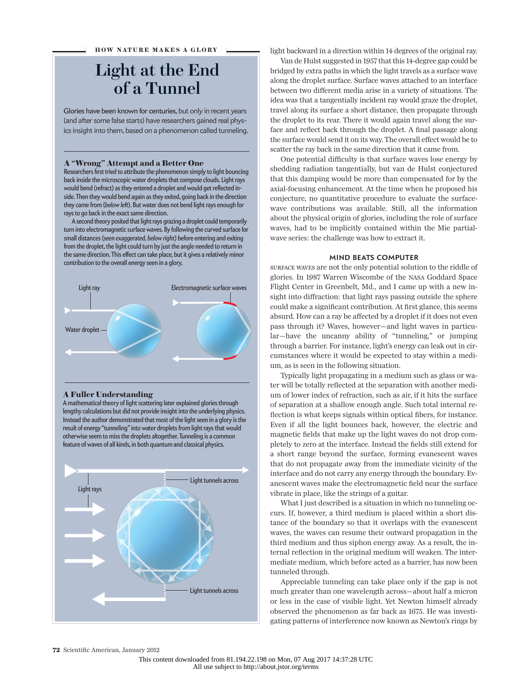**HOW NATURE MAKES A GLORY**

### Light at the End of a Tunnel

Glories have been known for centuries, but only in recent years (and after some false starts) have researchers gained real physics insight into them, based on a phenomenon called tunneling.

#### **A "Wrong" Attempt and a Better One**

Researchers first tried to attribute the phenomenon simply to light bouncing back inside the microscopic water droplets that compose clouds. Light rays would bend (refract) as they entered a droplet and would get reflected inside. Then they would bend again as they exited, going back in the direction they came from (*below left*). But water does not bend light rays enough for rays to go back in the exact same direction.

A second theory posited that light rays grazing a droplet could temporarily turn into electromagnetic surface waves. By following the curved surface for small distances (*seen exaggerated, below right*) before entering and exiting from the droplet, the light could turn by just the angle needed to return in the same direction. This effect can take place, but it gives a relatively minor contribution to the overall energy seen in a glory.



#### **A Fuller Understanding**

A mathematical theory of light scattering later explained glories through lengthy calculations but did not provide insight into the underlying physics. Instead the author demonstrated that most of the light seen in a glory is the result of energy "tunneling" into water droplets from light rays that would otherwise seem to miss the droplets altogether. Tunneling is a common feature of waves of all kinds, in both quantum and classical physics.



light backward in a direction within 14 degrees of the original ray.

Van de Hulst suggested in 1957 that this 14-degree gap could be bridged by extra paths in which the light travels as a surface wave along the droplet surface. Surface waves attached to an interface between two different media arise in a variety of situations. The idea was that a tangentially incident ray would graze the droplet, travel along its surface a short distance, then propagate through the droplet to its rear. There it would again travel along the surface and reflect back through the droplet. A final passage along the surface would send it on its way. The overall effect would be to scatter the ray back in the same direction that it came from.

One potential difficulty is that surface waves lose energy by shedding radiation tangentially, but van de Hulst conjectured that this damping would be more than compensated for by the axial-focusing enhancement. At the time when he proposed his conjecture, no quantitative procedure to evaluate the surfacewave contributions was available. Still, all the information about the physical origin of glories, including the role of surface waves, had to be implicitly contained within the Mie partialwave series: the challenge was how to extract it.

#### **MIND BEATS COMPUTER**

surface waves are not the only potential solution to the riddle of glories. In 1987 Warren Wiscombe of the NASA Goddard Space Flight Center in Greenbelt, Md., and I came up with a new insight into diffraction: that light rays passing outside the sphere could make a significant contribution. At first glance, this seems absurd. How can a ray be affected by a droplet if it does not even pass through it? Waves, however—and light waves in particular—have the uncanny ability of "tunneling," or jumping through a barrier. For instance, light's energy can leak out in circumstances where it would be expected to stay within a medium, as is seen in the following situation.

Typically light propagating in a medium such as glass or water will be totally reflected at the separation with another medium of lower index of refraction, such as air, if it hits the surface of separation at a shallow enough angle. Such total internal reflection is what keeps signals within optical fibers, for instance. Even if all the light bounces back, however, the electric and magnetic fields that make up the light waves do not drop completely to zero at the interface. Instead the fields still extend for a short range beyond the surface, forming evanescent waves that do not propagate away from the immediate vicinity of the interface and do not carry any energy through the boundary. Evanescent waves make the electromagnetic field near the surface vibrate in place, like the strings of a guitar.

What I just described is a situation in which no tunneling occurs. If, however, a third medium is placed within a short distance of the boundary so that it overlaps with the evanescent waves, the waves can resume their outward propagation in the third medium and thus siphon energy away. As a result, the internal reflection in the original medium will weaken. The intermediate medium, which before acted as a barrier, has now been tunneled through.

Appreciable tunneling can take place only if the gap is not much greater than one wavelength across—about half a micron or less in the case of visible light. Yet Newton himself already observed the phenomenon as far back as 1675. He was investigating patterns of interference now known as Newton's rings by